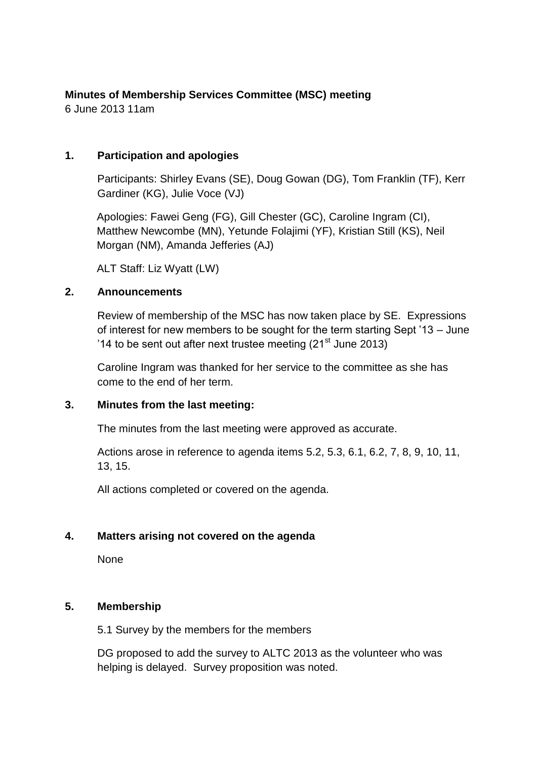# **Minutes of Membership Services Committee (MSC) meeting**

6 June 2013 11am

### **1. Participation and apologies**

Participants: Shirley Evans (SE), Doug Gowan (DG), Tom Franklin (TF), Kerr Gardiner (KG), Julie Voce (VJ)

Apologies: Fawei Geng (FG), Gill Chester (GC), Caroline Ingram (CI), Matthew Newcombe (MN), Yetunde Folajimi (YF), Kristian Still (KS), Neil Morgan (NM), Amanda Jefferies (AJ)

ALT Staff: Liz Wyatt (LW)

## **2. Announcements**

Review of membership of the MSC has now taken place by SE. Expressions of interest for new members to be sought for the term starting Sept '13 – June '14 to be sent out after next trustee meeting  $(21<sup>st</sup>$  June 2013)

Caroline Ingram was thanked for her service to the committee as she has come to the end of her term.

### **3. Minutes from the last meeting:**

The minutes from the last meeting were approved as accurate.

Actions arose in reference to agenda items 5.2, 5.3, 6.1, 6.2, 7, 8, 9, 10, 11, 13, 15.

All actions completed or covered on the agenda.

# **4. Matters arising not covered on the agenda**

None

### **5. Membership**

5.1 Survey by the members for the members

DG proposed to add the survey to ALTC 2013 as the volunteer who was helping is delayed. Survey proposition was noted.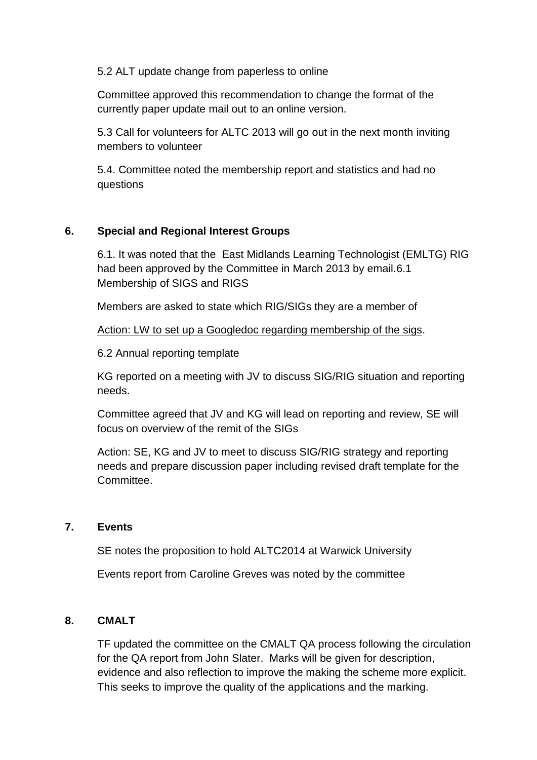5.2 ALT update change from paperless to online

Committee approved this recommendation to change the format of the currently paper update mail out to an online version.

5.3 Call for volunteers for ALTC 2013 will go out in the next month inviting members to volunteer

5.4. Committee noted the membership report and statistics and had no questions

### **6. Special and Regional Interest Groups**

6.1. It was noted that the East Midlands Learning Technologist (EMLTG) RIG had been approved by the Committee in March 2013 by email.6.1 Membership of SIGS and RIGS

Members are asked to state which RIG/SIGs they are a member of

Action: LW to set up a Googledoc regarding membership of the sigs.

6.2 Annual reporting template

KG reported on a meeting with JV to discuss SIG/RIG situation and reporting needs.

Committee agreed that JV and KG will lead on reporting and review, SE will focus on overview of the remit of the SIGs

Action: SE, KG and JV to meet to discuss SIG/RIG strategy and reporting needs and prepare discussion paper including revised draft template for the Committee.

### **7. Events**

SE notes the proposition to hold ALTC2014 at Warwick University

Events report from Caroline Greves was noted by the committee

### **8. CMALT**

TF updated the committee on the CMALT QA process following the circulation for the QA report from John Slater. Marks will be given for description, evidence and also reflection to improve the making the scheme more explicit. This seeks to improve the quality of the applications and the marking.